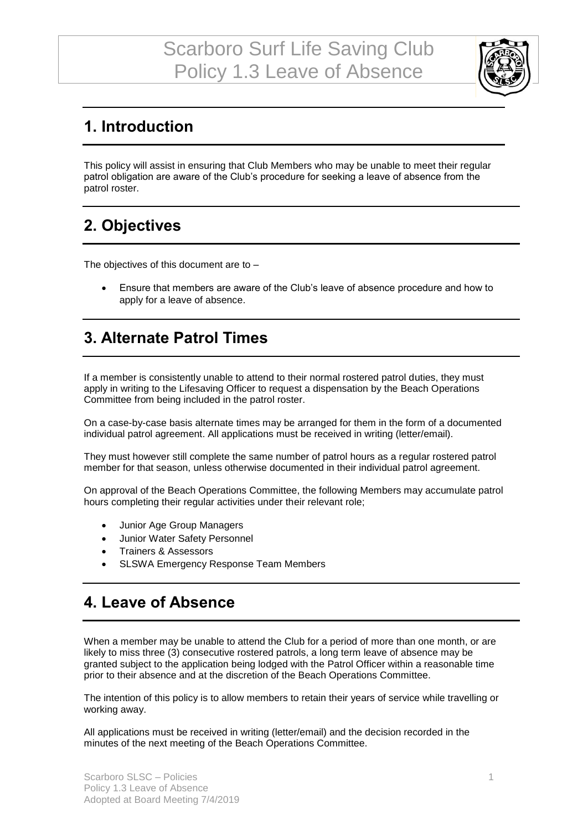

### **1. Introduction**

This policy will assist in ensuring that Club Members who may be unable to meet their regular patrol obligation are aware of the Club's procedure for seeking a leave of absence from the patrol roster.

## **2. Objectives**

The objectives of this document are to –

• Ensure that members are aware of the Club's leave of absence procedure and how to apply for a leave of absence.

#### **3. Alternate Patrol Times**

If a member is consistently unable to attend to their normal rostered patrol duties, they must apply in writing to the Lifesaving Officer to request a dispensation by the Beach Operations Committee from being included in the patrol roster.

On a case-by-case basis alternate times may be arranged for them in the form of a documented individual patrol agreement. All applications must be received in writing (letter/email).

They must however still complete the same number of patrol hours as a regular rostered patrol member for that season, unless otherwise documented in their individual patrol agreement.

On approval of the Beach Operations Committee, the following Members may accumulate patrol hours completing their regular activities under their relevant role;

- Junior Age Group Managers
- Junior Water Safety Personnel
- Trainers & Assessors
- SLSWA Emergency Response Team Members

#### **4. Leave of Absence**

When a member may be unable to attend the Club for a period of more than one month, or are likely to miss three (3) consecutive rostered patrols, a long term leave of absence may be granted subject to the application being lodged with the Patrol Officer within a reasonable time prior to their absence and at the discretion of the Beach Operations Committee.

The intention of this policy is to allow members to retain their years of service while travelling or working away.

All applications must be received in writing (letter/email) and the decision recorded in the minutes of the next meeting of the Beach Operations Committee.